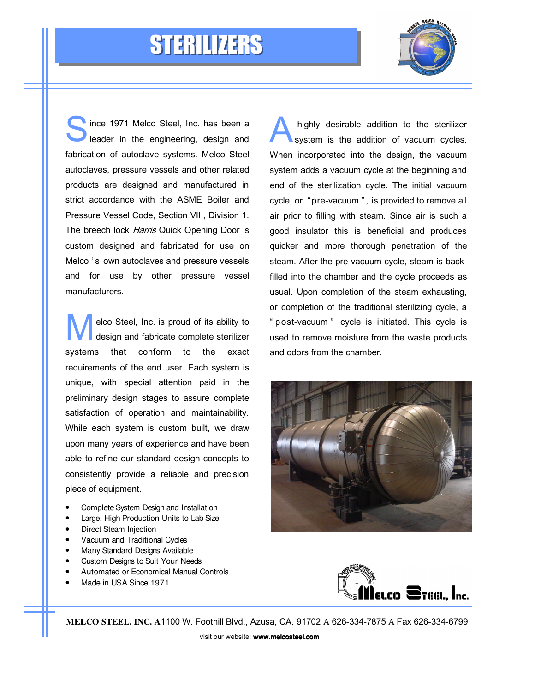



S laince 1971 Melco Steel, Inc. has been a leader in the engineering, design and fabrication of autoclave systems. Melco Steel autoclaves, pressure vessels and other related products are designed and manufactured in strict accordance with the ASME Boiler and Pressure Vessel Code, Section VIII, Division 1. The breech lock Harris Quick Opening Door is custom designed and fabricated for use on Melco 's own autoclaves and pressure vessels and for use by other pressure vessel manufacturers.

M elco Steel, Inc. is proud of its ability to design and fabricate complete sterilizer systems that conform to the exact requirements of the end user. Each system is unique, with special attention paid in the preliminary design stages to assure complete satisfaction of operation and maintainability. While each system is custom built, we draw upon many years of experience and have been able to refine our standard design concepts to consistently provide a reliable and precision piece of equipment.

- Complete System Design and Installation
- Large, High Production Units to Lab Size
- Direct Steam Injection
- Vacuum and Traditional Cycles
- Many Standard Designs Available
- Custom Designs to Suit Your Needs
- Automated or Economical Manual Controls
- Made in USA Since 1971

A highly desirable addition to the sterilizer system is the addition of vacuum cycles. When incorporated into the design, the vacuum system adds a vacuum cycle at the beginning and end of the sterilization cycle. The initial vacuum cycle, or "pre-vacuum", is provided to remove all air prior to filling with steam. Since air is such a good insulator this is beneficial and produces quicker and more thorough penetration of the steam. After the pre-vacuum cycle, steam is backfilled into the chamber and the cycle proceeds as usual. Upon completion of the steam exhausting, or completion of the traditional sterilizing cycle, a " post-vacuum " cycle is initiated. This cycle is used to remove moisture from the waste products and odors from the chamber.





**MELCO STEEL, INC. A**1100 W. Foothill Blvd., Azusa, CA. 91702 A 626-334-7875 A Fax 626-334-6799